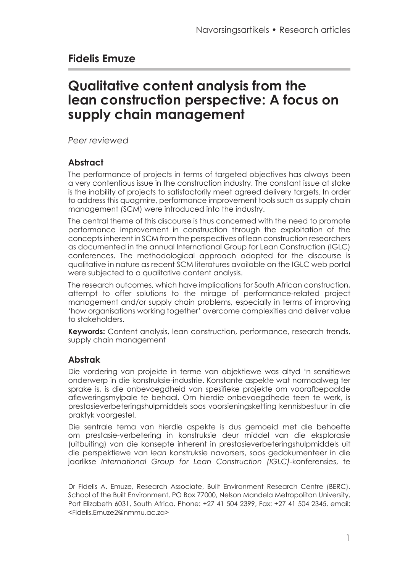# **Fidelis Emuze**

# **Qualitative content analysis from the lean construction perspective: A focus on supply chain management**

*Peer reviewed*

#### **Abstract**

The performance of projects in terms of targeted objectives has always been a very contentious issue in the construction industry. The constant issue at stake is the inability of projects to satisfactorily meet agreed delivery targets. In order to address this quagmire, performance improvement tools such as supply chain management (SCM) were introduced into the industry.

The central theme of this discourse is thus concerned with the need to promote performance improvement in construction through the exploitation of the concepts inherent in SCM from the perspectives of lean construction researchers as documented in the annual International Group for Lean Construction (IGLC) conferences. The methodological approach adopted for the discourse is qualitative in nature as recent SCM literatures available on the IGLC web portal were subjected to a qualitative content analysis.

The research outcomes, which have implications for South African construction, attempt to offer solutions to the mirage of performance-related project management and/or supply chain problems, especially in terms of improving 'how organisations working together' overcome complexities and deliver value to stakeholders.

**Keywords:** Content analysis, lean construction, performance, research trends, supply chain management

#### **Abstrak**

Die vordering van projekte in terme van objektiewe was altyd 'n sensitiewe onderwerp in die konstruksie-industrie. Konstante aspekte wat normaalweg ter sprake is, is die onbevoegdheid van spesifieke projekte om voorafbepaalde afleweringsmylpale te behaal. Om hierdie onbevoegdhede teen te werk, is prestasieverbeteringshulpmiddels soos voorsieningsketting kennisbestuur in die praktyk voorgestel.

Die sentrale tema van hierdie aspekte is dus gemoeid met die behoefte om prestasie-verbetering in konstruksie deur middel van die eksplorasie (uitbuiting) van die konsepte inherent in prestasieverbeteringshulpmiddels uit die perspektiewe van *lean* konstruksie navorsers, soos gedokumenteer in die jaarlikse *International Group for Lean Construction (IGLC)*-konferensies, te

Dr Fidelis A. Emuze, Research Associate, Built Environment Research Centre (BERC), School of the Built Environment, PO Box 77000, Nelson Mandela Metropolitan University, Port Elizabeth 6031, South Africa. Phone: +27 41 504 2399, Fax: +27 41 504 2345, email: <Fidelis.Emuze2@nmmu.ac.za>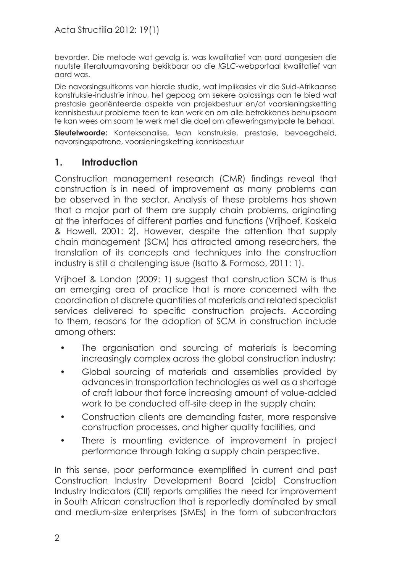bevorder. Die metode wat gevolg is, was kwalitatief van aard aangesien die nuutste literatuurnavorsing bekikbaar op die *IGLC*-webportaal kwalitatief van aard was.

Die navorsingsuitkoms van hierdie studie, wat implikasies vir die Suid-Afrikaanse konstruksie-industrie inhou, het gepoog om sekere oplossings aan te bied wat prestasie georiënteerde aspekte van projekbestuur en/of voorsieningsketting kennisbestuur probleme teen te kan werk en om alle betrokkenes behulpsaam te kan wees om saam te werk met die doel om afleweringsmylpale te behaal.

**Sleutelwoorde:** Konteksanalise, *lean* konstruksie, prestasie, bevoegdheid, navorsingspatrone, voorsieningsketting kennisbestuur

## **1. Introduction**

Construction management research (CMR) findings reveal that construction is in need of improvement as many problems can be observed in the sector. Analysis of these problems has shown that a major part of them are supply chain problems, originating at the interfaces of different parties and functions (Vrijhoef, Koskela & Howell, 2001: 2). However, despite the attention that supply chain management (SCM) has attracted among researchers, the translation of its concepts and techniques into the construction industry is still a challenging issue (Isatto & Formoso, 2011: 1).

Vrijhoef & London (2009: 1) suggest that construction SCM is thus an emerging area of practice that is more concerned with the coordination of discrete quantities of materials and related specialist services delivered to specific construction projects. According to them, reasons for the adoption of SCM in construction include among others:

- The organisation and sourcing of materials is becoming increasingly complex across the global construction industry;
- Global sourcing of materials and assemblies provided by advances in transportation technologies as well as a shortage of craft labour that force increasing amount of value-added work to be conducted off-site deep in the supply chain;
- Construction clients are demanding faster, more responsive construction processes, and higher quality facilities, and
- There is mounting evidence of improvement in project performance through taking a supply chain perspective.

In this sense, poor performance exemplified in current and past Construction Industry Development Board (cidb) Construction Industry Indicators (CII) reports amplifies the need for improvement in South African construction that is reportedly dominated by small and medium-size enterprises (SMEs) in the form of subcontractors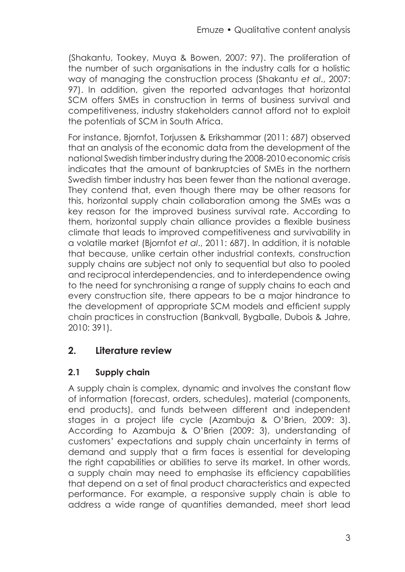(Shakantu, Tookey, Muya & Bowen, 2007: 97). The proliferation of the number of such organisations in the industry calls for a holistic way of managing the construction process (Shakantu *et al*., 2007: 97). In addition, given the reported advantages that horizontal SCM offers SMEs in construction in terms of business survival and competitiveness, industry stakeholders cannot afford not to exploit the potentials of SCM in South Africa.

For instance, Bjornfot, Torjussen & Erikshammar (2011: 687) observed that an analysis of the economic data from the development of the national Swedish timber industry during the 2008-2010 economic crisis indicates that the amount of bankruptcies of SMEs in the northern Swedish timber industry has been fewer than the national average. They contend that, even though there may be other reasons for this, horizontal supply chain collaboration among the SMEs was a key reason for the improved business survival rate. According to them, horizontal supply chain alliance provides a flexible business climate that leads to improved competitiveness and survivability in a volatile market (Bjornfot *et al*., 2011: 687). In addition, it is notable that because, unlike certain other industrial contexts, construction supply chains are subject not only to sequential but also to pooled and reciprocal interdependencies, and to interdependence owing to the need for synchronising a range of supply chains to each and every construction site, there appears to be a major hindrance to the development of appropriate SCM models and efficient supply chain practices in construction (Bankvall, Bygballe, Dubois & Jahre, 2010: 391).

## **2. Literature review**

## **2.1 Supply chain**

A supply chain is complex, dynamic and involves the constant flow of information (forecast, orders, schedules), material (components, end products), and funds between different and independent stages in a project life cycle (Azambuja & O'Brien, 2009: 3). According to Azambuja & O'Brien (2009: 3), understanding of customers' expectations and supply chain uncertainty in terms of demand and supply that a firm faces is essential for developing the right capabilities or abilities to serve its market. In other words, a supply chain may need to emphasise its efficiency capabilities that depend on a set of final product characteristics and expected performance. For example, a responsive supply chain is able to address a wide range of quantities demanded, meet short lead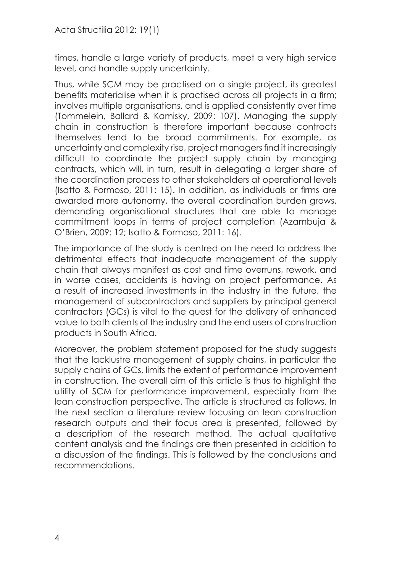times, handle a large variety of products, meet a very high service level, and handle supply uncertainty.

Thus, while SCM may be practised on a single project, its greatest benefits materialise when it is practised across all projects in a firm; involves multiple organisations, and is applied consistently over time (Tommelein, Ballard & Kamisky, 2009: 107). Managing the supply chain in construction is therefore important because contracts themselves tend to be broad commitments. For example, as uncertainty and complexity rise, project managers find it increasingly difficult to coordinate the project supply chain by managing contracts, which will, in turn, result in delegating a larger share of the coordination process to other stakeholders at operational levels (Isatto & Formoso, 2011: 15). In addition, as individuals or firms are awarded more autonomy, the overall coordination burden grows, demanding organisational structures that are able to manage commitment loops in terms of project completion (Azambuja & O'Brien, 2009: 12; Isatto & Formoso, 2011: 16).

The importance of the study is centred on the need to address the detrimental effects that inadequate management of the supply chain that always manifest as cost and time overruns, rework, and in worse cases, accidents is having on project performance. As a result of increased investments in the industry in the future, the management of subcontractors and suppliers by principal general contractors (GCs) is vital to the quest for the delivery of enhanced value to both clients of the industry and the end users of construction products in South Africa.

Moreover, the problem statement proposed for the study suggests that the lacklustre management of supply chains, in particular the supply chains of GCs, limits the extent of performance improvement in construction. The overall aim of this article is thus to highlight the utility of SCM for performance improvement, especially from the lean construction perspective. The article is structured as follows. In the next section a literature review focusing on lean construction research outputs and their focus area is presented, followed by a description of the research method. The actual qualitative content analysis and the findings are then presented in addition to a discussion of the findings. This is followed by the conclusions and recommendations.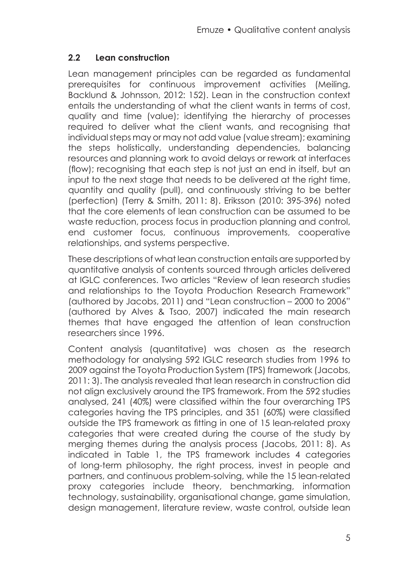#### **2.2 Lean construction**

Lean management principles can be regarded as fundamental prerequisites for continuous improvement activities (Meiling, Backlund & Johnsson, 2012: 152). Lean in the construction context entails the understanding of what the client wants in terms of cost, quality and time (value); identifying the hierarchy of processes required to deliver what the client wants, and recognising that individual steps may or may not add value (value stream); examining the steps holistically, understanding dependencies, balancing resources and planning work to avoid delays or rework at interfaces (flow); recognising that each step is not just an end in itself, but an input to the next stage that needs to be delivered at the right time, quantity and quality (pull), and continuously striving to be better (perfection) (Terry & Smith, 2011: 8). Eriksson (2010: 395-396) noted that the core elements of lean construction can be assumed to be waste reduction, process focus in production planning and control, end customer focus, continuous improvements, cooperative relationships, and systems perspective.

These descriptions of what lean construction entails are supported by quantitative analysis of contents sourced through articles delivered at IGLC conferences. Two articles "Review of lean research studies and relationships to the Toyota Production Research Framework" (authored by Jacobs, 2011) and "Lean construction – 2000 to 2006" (authored by Alves & Tsao, 2007) indicated the main research themes that have engaged the attention of lean construction researchers since 1996.

Content analysis (quantitative) was chosen as the research methodology for analysing 592 IGLC research studies from 1996 to 2009 against the Toyota Production System (TPS) framework (Jacobs, 2011: 3). The analysis revealed that lean research in construction did not align exclusively around the TPS framework. From the 592 studies analysed, 241 (40%) were classified within the four overarching TPS categories having the TPS principles, and 351 (60%) were classified outside the TPS framework as fitting in one of 15 lean-related proxy categories that were created during the course of the study by merging themes during the analysis process (Jacobs, 2011: 8). As indicated in Table 1, the TPS framework includes 4 categories of long-term philosophy, the right process, invest in people and partners, and continuous problem-solving, while the 15 lean-related proxy categories include theory, benchmarking, information technology, sustainability, organisational change, game simulation, design management, literature review, waste control, outside lean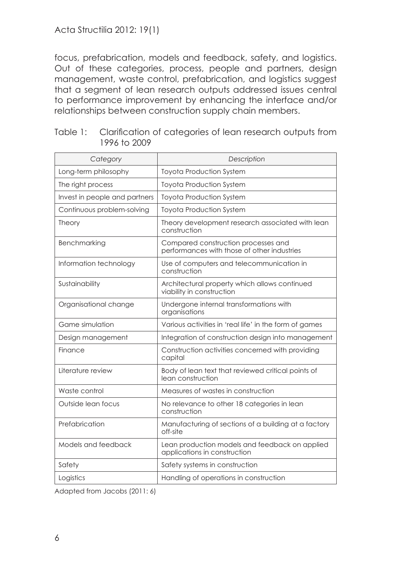Acta Structilia 2012: 19(1)

focus, prefabrication, models and feedback, safety, and logistics. Out of these categories, process, people and partners, design management, waste control, prefabrication, and logistics suggest that a segment of lean research outputs addressed issues central to performance improvement by enhancing the interface and/or relationships between construction supply chain members.

| Category                      | Description                                                                        |
|-------------------------------|------------------------------------------------------------------------------------|
| Long-term philosophy          | <b>Toyota Production System</b>                                                    |
| The right process             | <b>Toyota Production System</b>                                                    |
| Invest in people and partners | <b>Toyota Production System</b>                                                    |
| Continuous problem-solving    | <b>Toyota Production System</b>                                                    |
| Theory                        | Theory development research associated with lean<br>construction                   |
| Benchmarking                  | Compared construction processes and<br>performances with those of other industries |
| Information technology        | Use of computers and telecommunication in<br>construction                          |
| Sustainability                | Architectural property which allows continued<br>viability in construction         |
| Organisational change         | Undergone internal transformations with<br>organisations                           |
| Game simulation               | Various activities in 'real life' in the form of games                             |
| Design management             | Integration of construction design into management                                 |
| Finance                       | Construction activities concerned with providing<br>capital                        |
| Literature review             | Body of lean text that reviewed critical points of<br>lean construction            |
| Waste control                 | Measures of wastes in construction                                                 |
| Outside lean focus            | No relevance to other 18 categories in lean<br>construction                        |
| Prefabrication                | Manufacturing of sections of a building at a factory<br>off-site                   |
| Models and feedback           | Lean production models and feedback on applied<br>applications in construction     |
| Safety                        | Safety systems in construction                                                     |
| Logistics                     | Handling of operations in construction                                             |

| Table 1: Clarification of categories of lean research outputs from |
|--------------------------------------------------------------------|
| 1996 to 2009                                                       |

Adapted from Jacobs (2011: 6)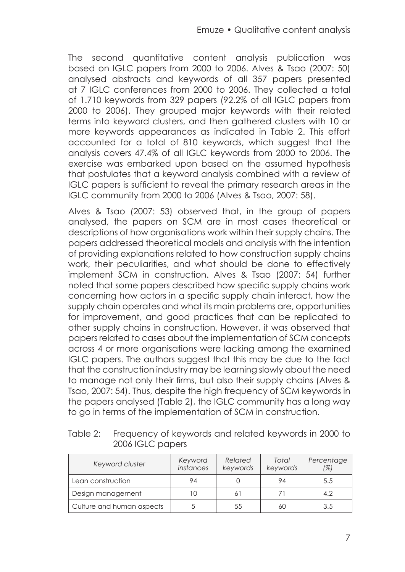The second quantitative content analysis publication was based on IGLC papers from 2000 to 2006. Alves & Tsao (2007: 50) analysed abstracts and keywords of all 357 papers presented at 7 IGLC conferences from 2000 to 2006. They collected a total of 1.710 keywords from 329 papers (92.2% of all IGLC papers from 2000 to 2006). They grouped major keywords with their related terms into keyword clusters, and then gathered clusters with 10 or more keywords appearances as indicated in Table 2. This effort accounted for a total of 810 keywords, which suggest that the analysis covers 47.4% of all IGLC keywords from 2000 to 2006. The exercise was embarked upon based on the assumed hypothesis that postulates that a keyword analysis combined with a review of IGLC papers is sufficient to reveal the primary research areas in the IGLC community from 2000 to 2006 (Alves & Tsao, 2007: 58).

Alves & Tsao (2007: 53) observed that, in the group of papers analysed, the papers on SCM are in most cases theoretical or descriptions of how organisations work within their supply chains. The papers addressed theoretical models and analysis with the intention of providing explanations related to how construction supply chains work, their peculiarities, and what should be done to effectively implement SCM in construction. Alves & Tsao (2007: 54) further noted that some papers described how specific supply chains work concerning how actors in a specific supply chain interact, how the supply chain operates and what its main problems are, opportunities for improvement, and good practices that can be replicated to other supply chains in construction. However, it was observed that papers related to cases about the implementation of SCM concepts across 4 or more organisations were lacking among the examined IGLC papers. The authors suggest that this may be due to the fact that the construction industry may be learning slowly about the need to manage not only their firms, but also their supply chains (Alves & Tsao, 2007: 54). Thus, despite the high frequency of SCM keywords in the papers analysed (Table 2), the IGLC community has a long way to go in terms of the implementation of SCM in construction.

| Keyword cluster           | Keyword<br>instances | Related<br>keywords | Total<br>keywords | Percentage<br>(%) |
|---------------------------|----------------------|---------------------|-------------------|-------------------|
| Lean construction         | 94                   |                     | 94                | 5.5               |
| Design management         | 10                   | 61                  | 71                | 4.2               |
| Culture and human aspects |                      | 55                  | 60                | 3.5               |

Table 2: Frequency of keywords and related keywords in 2000 to 2006 IGLC papers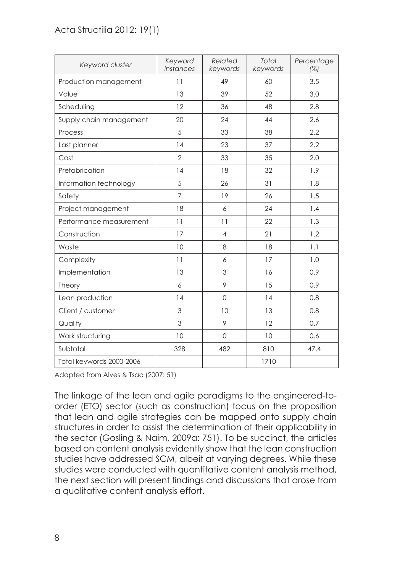#### Acta Structilia 2012: 19(1)

| Keyword cluster          | Keyword<br>instances | Related<br>keywords | Total<br>keywords | Percentage<br>(%) |
|--------------------------|----------------------|---------------------|-------------------|-------------------|
| Production management    | 11                   | 49                  | 60                | 3.5               |
| Value                    | 13                   | 39                  | 52                | 3.0               |
| Scheduling               | 12                   | 36                  | 48                | 2.8               |
| Supply chain management  | 20                   | 24                  | 44                | 2.6               |
| Process                  | 5                    | 33                  | 38                | 2.2               |
| Last planner             | 14                   | 23                  | 37                | 2.2               |
| Cost                     | $\overline{2}$       | 33                  | 35                | 2.0               |
| Prefabrication           | 14                   | 18                  | 32                | 1.9               |
| Information technology   | 5                    | 26                  | 31                | 1.8               |
| Safety                   | $\overline{7}$       | 19                  | 26                | 1.5               |
| Project management       | 18                   | 6                   | 24                | 1.4               |
| Performance measurement  | 11                   | 11                  | 22                | 1.3               |
| Construction             | 17                   | $\overline{4}$      | 21                | 1.2               |
| Waste                    | 10                   | 8                   | 18                | 1.1               |
| Complexity               | 11                   | 6                   | 17                | 1.0               |
| Implementation           | 13                   | 3                   | 16                | 0.9               |
| Theory                   | 6                    | 9                   | 15                | 0.9               |
| Lean production          | 14                   | $\mathbf 0$         | 14                | 0.8               |
| Client / customer        | 3                    | 10                  | 13                | 0.8               |
| Quality                  | 3                    | 9                   | 12                | 0.7               |
| Work structuring         | 10                   | $\Omega$            | 10                | 0.6               |
| Subtotal                 | 328                  | 482                 | 810               | 47.4              |
| Total keywords 2000-2006 |                      |                     | 1710              |                   |

Adapted from Alves & Tsao (2007: 51)

The linkage of the lean and agile paradigms to the engineered-toorder (ETO) sector (such as construction) focus on the proposition that lean and agile strategies can be mapped onto supply chain structures in order to assist the determination of their applicability in the sector (Gosling & Naim, 2009a: 751). To be succinct, the articles based on content analysis evidently show that the lean construction studies have addressed SCM, albeit at varying degrees. While these studies were conducted with quantitative content analysis method, the next section will present findings and discussions that arose from a qualitative content analysis effort.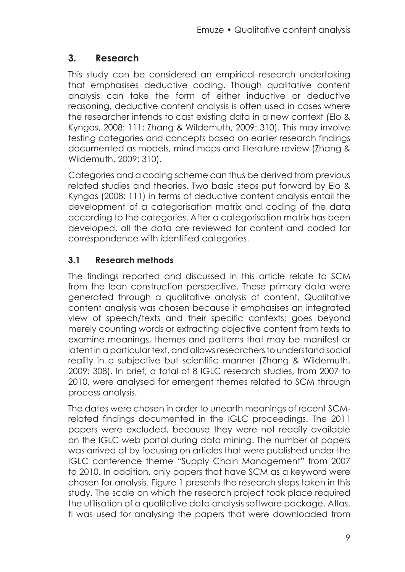## **3. Research**

This study can be considered an empirical research undertaking that emphasises deductive coding. Though qualitative content analysis can take the form of either inductive or deductive reasoning, deductive content analysis is often used in cases where the researcher intends to cast existing data in a new context (Elo & Kyngas, 2008: 111; Zhang & Wildemuth, 2009: 310). This may involve testing categories and concepts based on earlier research findings documented as models, mind maps and literature review (Zhang & Wildemuth, 2009: 310).

Categories and a coding scheme can thus be derived from previous related studies and theories. Two basic steps put forward by Elo & Kyngas (2008: 111) in terms of deductive content analysis entail the development of a categorisation matrix and coding of the data according to the categories. After a categorisation matrix has been developed, all the data are reviewed for content and coded for correspondence with identified categories.

## **3.1 Research methods**

The findings reported and discussed in this article relate to SCM from the lean construction perspective. These primary data were generated through a qualitative analysis of content. Qualitative content analysis was chosen because it emphasises an integrated view of speech/texts and their specific contexts; goes beyond merely counting words or extracting objective content from texts to examine meanings, themes and patterns that may be manifest or latent in a particular text, and allows researchers to understand social reality in a subjective but scientific manner (Zhang & Wildemuth, 2009: 308). In brief, a total of 8 IGLC research studies, from 2007 to 2010, were analysed for emergent themes related to SCM through process analysis.

The dates were chosen in order to unearth meanings of recent SCMrelated findings documented in the IGLC proceedings. The 2011 papers were excluded, because they were not readily available on the IGLC web portal during data mining. The number of papers was arrived at by focusing on articles that were published under the IGLC conference theme "Supply Chain Management" from 2007 to 2010. In addition, only papers that have SCM as a keyword were chosen for analysis. Figure 1 presents the research steps taken in this study. The scale on which the research project took place required the utilisation of a qualitative data analysis software package. Atlas. ti was used for analysing the papers that were downloaded from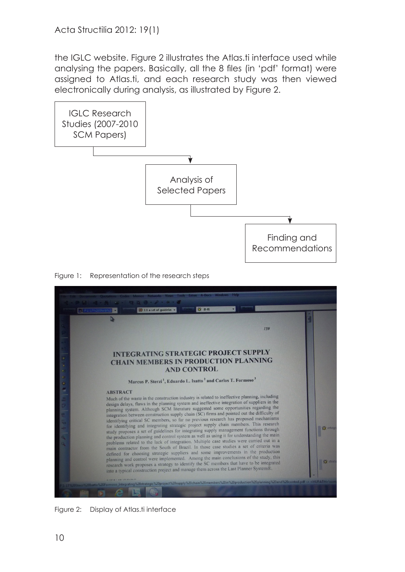the IGLC website. Figure 2 illustrates the Atlas.ti interface used while analysing the papers. Basically, all the 8 files (in 'pdf' format) were assigned to Atlas.ti, and each research study was then viewed electronically during analysis, as illustrated by Figure 2.



Figure 1: Representation of the research steps



Figure 2: Display of Atlas.ti interface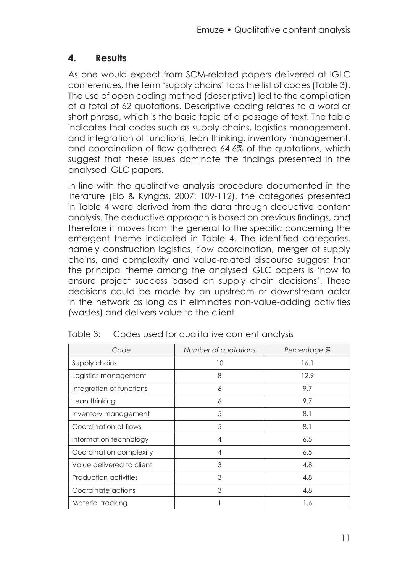## **4. Results**

As one would expect from SCM-related papers delivered at IGLC conferences, the term 'supply chains' tops the list of codes (Table 3). The use of open coding method (descriptive) led to the compilation of a total of 62 quotations. Descriptive coding relates to a word or short phrase, which is the basic topic of a passage of text. The table indicates that codes such as supply chains, logistics management, and integration of functions, lean thinking, inventory management, and coordination of flow gathered 64.6% of the quotations, which suggest that these issues dominate the findings presented in the analysed IGLC papers.

In line with the qualitative analysis procedure documented in the literature (Elo & Kyngas, 2007: 109-112), the categories presented in Table 4 were derived from the data through deductive content analysis. The deductive approach is based on previous findings, and therefore it moves from the general to the specific concerning the emergent theme indicated in Table 4. The identified categories, namely construction logistics, flow coordination, merger of supply chains, and complexity and value-related discourse suggest that the principal theme among the analysed IGLC papers is 'how to ensure project success based on supply chain decisions'. These decisions could be made by an upstream or downstream actor in the network as long as it eliminates non-value-adding activities (wastes) and delivers value to the client.

| Code                      | Number of quotations | Percentage % |
|---------------------------|----------------------|--------------|
| Supply chains             | 10                   | 16.1         |
| Logistics management      | 8                    | 12.9         |
| Integration of functions  | 6                    | 9.7          |
| Lean thinking             | 6                    | 9.7          |
| Inventory management      | 5                    | 8.1          |
| Coordination of flows     | 5                    | 8.1          |
| information technology    | 4                    | 6.5          |
| Coordination complexity   | 4                    | 6.5          |
| Value delivered to client | 3                    | 4.8          |
| Production activities     | 3                    | 4.8          |
| Coordinate actions        | 3                    | 4.8          |
| Material tracking         |                      | 1.6          |

|  |  | Table 3: Codes used for qualitative content analysis |  |  |
|--|--|------------------------------------------------------|--|--|
|--|--|------------------------------------------------------|--|--|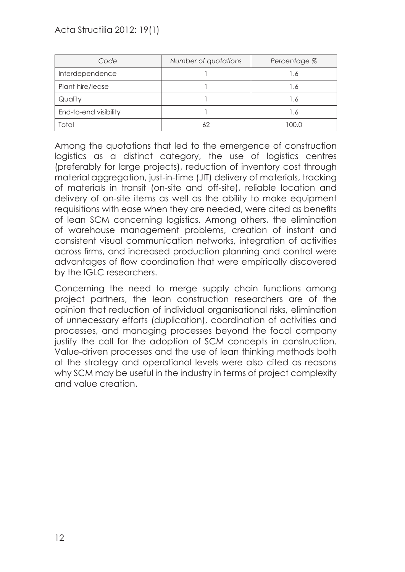| Code                  | Number of quotations | Percentage % |
|-----------------------|----------------------|--------------|
| Interdependence       |                      | .6           |
| Plant hire/lease      |                      | .6           |
| Quality               |                      | .6           |
| End-to-end visibility |                      | .6           |
| Total                 |                      | nn n         |

Among the quotations that led to the emergence of construction logistics as a distinct category, the use of logistics centres (preferably for large projects), reduction of inventory cost through material aggregation, just-in-time (JIT) delivery of materials, tracking of materials in transit (on-site and off-site), reliable location and delivery of on-site items as well as the ability to make equipment requisitions with ease when they are needed, were cited as benefits of lean SCM concerning logistics. Among others, the elimination of warehouse management problems, creation of instant and consistent visual communication networks, integration of activities across firms, and increased production planning and control were advantages of flow coordination that were empirically discovered by the IGLC researchers.

Concerning the need to merge supply chain functions among project partners, the lean construction researchers are of the opinion that reduction of individual organisational risks, elimination of unnecessary efforts (duplication), coordination of activities and processes, and managing processes beyond the focal company justify the call for the adoption of SCM concepts in construction. Value-driven processes and the use of lean thinking methods both at the strategy and operational levels were also cited as reasons why SCM may be useful in the industry in terms of project complexity and value creation.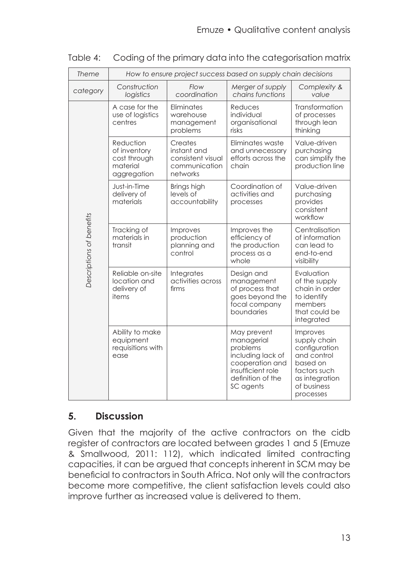| Theme                    | How to ensure project success based on supply chain decisions        |                                                                          |                                                                                                                                      |                                                                                                                                    |
|--------------------------|----------------------------------------------------------------------|--------------------------------------------------------------------------|--------------------------------------------------------------------------------------------------------------------------------------|------------------------------------------------------------------------------------------------------------------------------------|
| category                 | Construction<br>logistics                                            | Flow<br>coordination                                                     | Merger of supply<br>chains functions                                                                                                 | Complexity &<br>value                                                                                                              |
| Descriptions of benefits | A case for the<br>use of logistics<br>centres                        | Eliminates<br>warehouse<br>management<br>problems                        | Reduces<br>individual<br>organisational<br>risks                                                                                     | Transformation<br>of processes<br>through lean<br>thinking                                                                         |
|                          | Reduction<br>of inventory<br>cost through<br>material<br>aggregation | Creates<br>instant and<br>consistent visual<br>communication<br>networks | Eliminates waste<br>and unnecessary<br>efforts across the<br>chain                                                                   | Value-driven<br>purchasing<br>can simplify the<br>production line                                                                  |
|                          | Just-in-Time<br>delivery of<br>materials                             | Brings high<br>levels of<br>accountability                               | Coordination of<br>activities and<br>processes                                                                                       | Value-driven<br>purchasing<br>provides<br>consistent<br>workflow                                                                   |
|                          | Tracking of<br>materials in<br>transit                               | Improves<br>production<br>planning and<br>control                        | Improves the<br>efficiency of<br>the production<br>process as a<br>whole                                                             | Centralisation<br>of information<br>can lead to<br>end-to-end<br>visibility                                                        |
|                          | Reliable on-site<br>location and<br>delivery of<br>items             | Integrates<br>activities across<br>firms                                 | Design and<br>management<br>of process that<br>goes beyond the<br>focal company<br>boundaries                                        | Evaluation<br>of the supply<br>chain in order<br>to identify<br>members<br>that could be<br>integrated                             |
|                          | Ability to make<br>equipment<br>requisitions with<br>ease            |                                                                          | May prevent<br>managerial<br>problems<br>including lack of<br>cooperation and<br>insufficient role<br>definition of the<br>SC agents | Improves<br>supply chain<br>configuration<br>and control<br>based on<br>factors such<br>as integration<br>of business<br>processes |

Table 4: Coding of the primary data into the categorisation matrix

# **5. Discussion**

Given that the majority of the active contractors on the cidb register of contractors are located between grades 1 and 5 (Emuze & Smallwood, 2011: 112), which indicated limited contracting capacities, it can be argued that concepts inherent in SCM may be beneficial to contractors in South Africa. Not only will the contractors become more competitive, the client satisfaction levels could also improve further as increased value is delivered to them.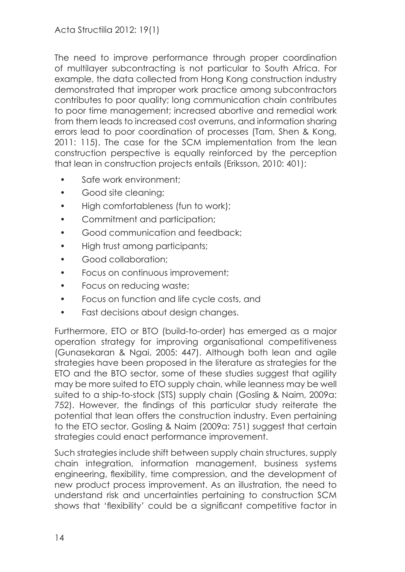The need to improve performance through proper coordination of multilayer subcontracting is not particular to South Africa. For example, the data collected from Hong Kong construction industry demonstrated that improper work practice among subcontractors contributes to poor quality; long communication chain contributes to poor time management; increased abortive and remedial work from them leads to increased cost overruns, and information sharing errors lead to poor coordination of processes (Tam, Shen & Kong, 2011: 115). The case for the SCM implementation from the lean construction perspective is equally reinforced by the perception that lean in construction projects entails (Eriksson, 2010: 401):

- Safe work environment:
- Good site cleaning;
- High comfortableness (fun to work);
- Commitment and participation;
- Good communication and feedback:
- High trust among participants;
- Good collaboration;
- Focus on continuous improvement;
- Focus on reducing waste;
- Focus on function and life cycle costs, and
- Fast decisions about design changes.

Furthermore, ETO or BTO (build-to-order) has emerged as a major operation strategy for improving organisational competitiveness (Gunasekaran & Ngai, 2005: 447). Although both lean and agile strategies have been proposed in the literature as strategies for the ETO and the BTO sector, some of these studies suggest that agility may be more suited to ETO supply chain, while leanness may be well suited to a ship-to-stock (STS) supply chain (Gosling & Naim, 2009a: 752). However, the findings of this particular study reiterate the potential that lean offers the construction industry. Even pertaining to the ETO sector, Gosling & Naim (2009a: 751) suggest that certain strategies could enact performance improvement.

Such strategies include shift between supply chain structures, supply chain integration, information management, business systems engineering, flexibility, time compression, and the development of new product process improvement. As an illustration, the need to understand risk and uncertainties pertaining to construction SCM shows that 'flexibility' could be a significant competitive factor in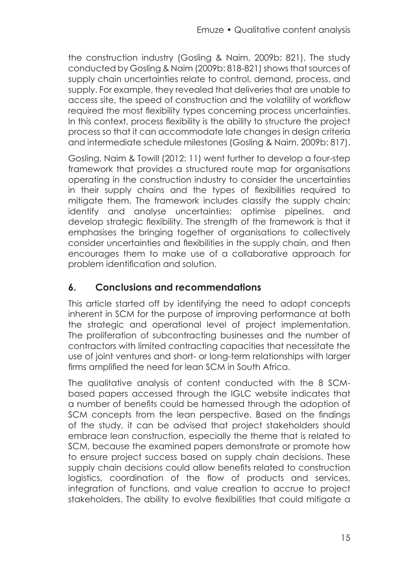the construction industry (Gosling & Naim, 2009b: 821). The study conducted by Gosling & Naim (2009b: 818-821) shows that sources of supply chain uncertainties relate to control, demand, process, and supply. For example, they revealed that deliveries that are unable to access site, the speed of construction and the volatility of workflow required the most flexibility types concerning process uncertainties. In this context, process flexibility is the ability to structure the project process so that it can accommodate late changes in design criteria and intermediate schedule milestones (Gosling & Naim, 2009b: 817).

Gosling, Naim & Towill (2012: 11) went further to develop a four-step framework that provides a structured route map for organisations operating in the construction industry to consider the uncertainties in their supply chains and the types of flexibilities required to mitigate them. The framework includes classify the supply chain; identify and analyse uncertainties; optimise pipelines, and develop strategic flexibility. The strength of the framework is that it emphasises the bringing together of organisations to collectively consider uncertainties and flexibilities in the supply chain, and then encourages them to make use of a collaborative approach for problem identification and solution.

## **6. Conclusions and recommendations**

This article started off by identifying the need to adopt concepts inherent in SCM for the purpose of improving performance at both the strategic and operational level of project implementation. The proliferation of subcontracting businesses and the number of contractors with limited contracting capacities that necessitate the use of joint ventures and short- or long-term relationships with larger firms amplified the need for lean SCM in South Africa.

The qualitative analysis of content conducted with the 8 SCMbased papers accessed through the IGLC website indicates that a number of benefits could be harnessed through the adoption of SCM concepts from the lean perspective. Based on the findings of the study, it can be advised that project stakeholders should embrace lean construction, especially the theme that is related to SCM, because the examined papers demonstrate or promote how to ensure project success based on supply chain decisions. These supply chain decisions could allow benefits related to construction logistics, coordination of the flow of products and services, integration of functions, and value creation to accrue to project stakeholders. The ability to evolve flexibilities that could mitigate a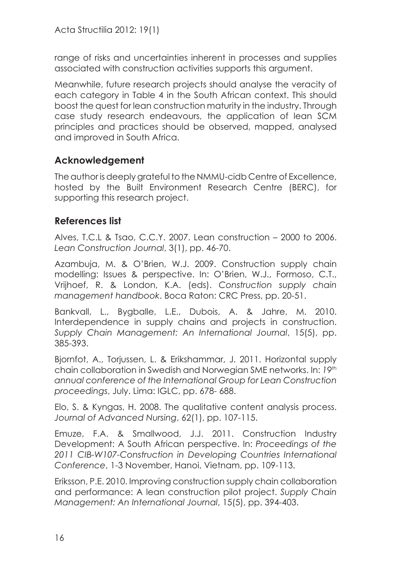range of risks and uncertainties inherent in processes and supplies associated with construction activities supports this argument.

Meanwhile, future research projects should analyse the veracity of each category in Table 4 in the South African context. This should boost the quest for lean construction maturity in the industry. Through case study research endeavours, the application of lean SCM principles and practices should be observed, mapped, analysed and improved in South Africa.

## **Acknowledgement**

The author is deeply grateful to the NMMU-cidb Centre of Excellence, hosted by the Built Environment Research Centre (BERC), for supporting this research project.

## **References list**

Alves, T.C.L & Tsao, C.C.Y. 2007. Lean construction – 2000 to 2006. *Lean Construction Journal*, 3(1), pp. 46-70.

Azambuja, M. & O'Brien, W.J. 2009. Construction supply chain modelling: Issues & perspective. In: O'Brien, W.J., Formoso, C.T., Vrijhoef, R. & London, K.A. (eds). *Construction supply chain management handbook*. Boca Raton: CRC Press, pp. 20-51.

Bankvall, L., Bygballe, L.E., Dubois, A. & Jahre, M. 2010. Interdependence in supply chains and projects in construction. *Supply Chain Management: An International Journal*, 15(5), pp. 385-393.

Bjornfot, A., Torjussen, L. & Erikshammar, J. 2011. Horizontal supply chain collaboration in Swedish and Norwegian SME networks. In: *19th annual conference of the International Group for Lean Construction proceedings*, July. Lima: IGLC, pp. 678- 688.

Elo, S. & Kyngas, H. 2008. The qualitative content analysis process. *Journal of Advanced Nursing*, 62(1), pp. 107-115.

Emuze, F.A. & Smallwood, J.J. 2011. Construction Industry Development: A South African perspective. In: *Proceedings of the 2011 CIB-W107-Construction in Developing Countries International Conference*, 1-3 November, Hanoi, Vietnam, pp. 109-113.

Eriksson, P.E. 2010. Improving construction supply chain collaboration and performance: A lean construction pilot project. *Supply Chain Management: An International Journal*, 15(5), pp. 394-403.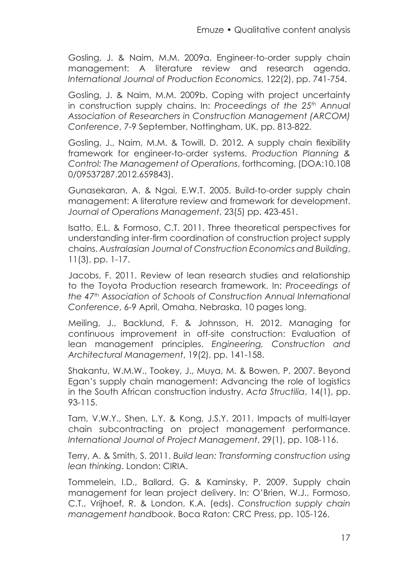Gosling, J. & Naim, M.M. 2009a. Engineer-to-order supply chain management: A literature review and research agenda. *International Journal of Production Economics*, 122(2), pp. 741-754.

Gosling, J. & Naim, M.M. 2009b. Coping with project uncertainty in construction supply chains. In: Proceedings of the 25<sup>th</sup> Annual *Association of Researchers in Construction Management (ARCOM) Conference*, 7-9 September, Nottingham, UK, pp. 813-822.

Gosling, J., Naim, M.M. & Towill, D. 2012. A supply chain flexibility framework for engineer-to-order systems. *Production Planning & Control: The Management of Operations*, forthcoming, (DOA:10.108 0/09537287.2012.659843).

Gunasekaran, A. & Ngai, E.W.T. 2005. Build-to-order supply chain management: A literature review and framework for development. *Journal of Operations Management*, 23(5) pp. 423-451.

Isatto, E.L. & Formoso, C.T. 2011. Three theoretical perspectives for understanding inter-firm coordination of construction project supply chains. *Australasian Journal of Construction Economics and Building*, 11(3), pp. 1-17.

Jacobs, F. 2011. Review of lean research studies and relationship to the Toyota Production research framework. In: *Proceedings of the 47th Association of Schools of Construction Annual International Conference*, 6-9 April, Omaha, Nebraska, 10 pages long.

Meiling, J., Backlund, F. & Johnsson, H. 2012. Managing for continuous improvement in off-site construction: Evaluation of lean management principles. *Engineering, Construction and Architectural Management*, 19(2), pp. 141-158.

Shakantu, W.M.W., Tookey, J., Muya, M. & Bowen, P. 2007. Beyond Egan's supply chain management: Advancing the role of logistics in the South African construction industry. *Acta Structilia*, 14(1), pp. 93-115.

Tam, V.W.Y., Shen, L.Y. & Kong, J.S.Y. 2011. Impacts of multi-layer chain subcontracting on project management performance. *International Journal of Project Management*, 29(1), pp. 108-116.

Terry, A. & Smith, S. 2011. *Build lean: Transforming construction using lean thinking*. London: CIRIA.

Tommelein, I.D., Ballard, G. & Kaminsky, P. 2009. Supply chain management for lean project delivery. In: O'Brien, W.J., Formoso, C.T., Vrijhoef, R. & London, K.A. (eds). *Construction supply chain management handbook*. Boca Raton: CRC Press, pp. 105-126.